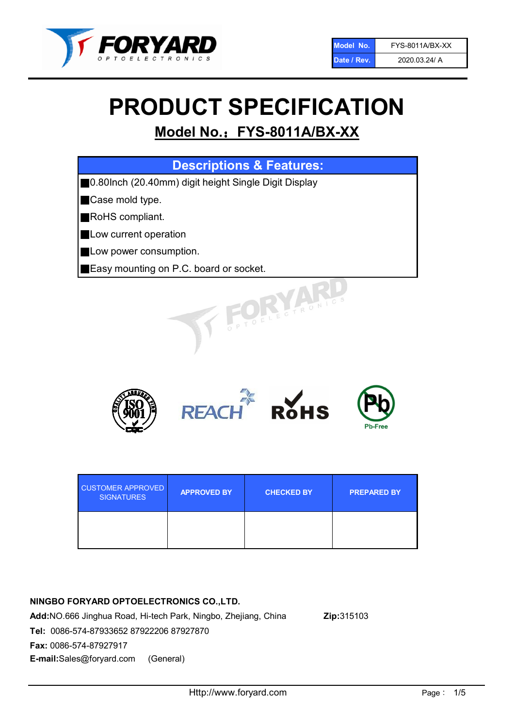

# PRODUCT SPECIFICATION

## Model No.: FYS-8011A/BX-XX

| <b>Descriptions &amp; Features:</b>                  |
|------------------------------------------------------|
| 0.80Inch (20.40mm) digit height Single Digit Display |
| Case mold type.                                      |
| RoHS compliant.                                      |
| Low current operation                                |
| Low power consumption.                               |
| Easy mounting on P.C. board or socket.               |
| TOELECTRONICS                                        |



| <b>CUSTOMER APPROVED</b><br><b>SIGNATURES</b> | <b>APPROVED BY</b> | <b>CHECKED BY</b> | <b>PREPARED BY</b> |
|-----------------------------------------------|--------------------|-------------------|--------------------|
|                                               |                    |                   |                    |

## NINGBO FORYARD OPTOELECTRONICS CO.,LTD.

Add:NO.666 Jinghua Road, Hi-tech Park, Ningbo, Zhejiang, China Zip:315103 Tel: 0086-574-87933652 87922206 87927870 Fax: 0086-574-87927917 E-mail:Sales@foryard.com (General)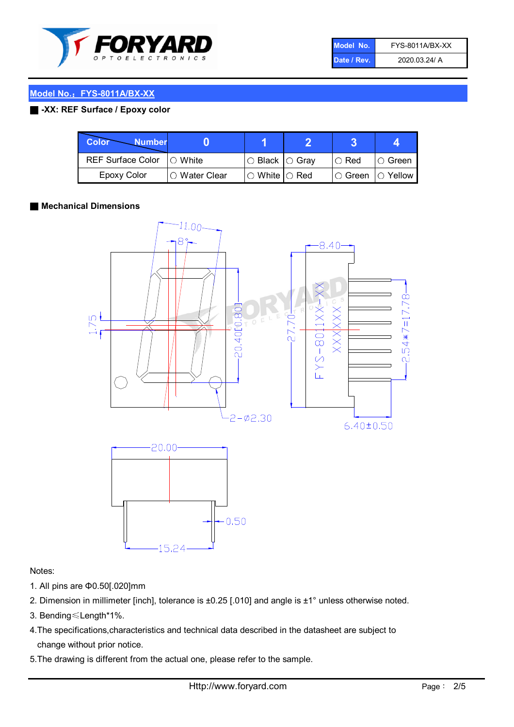

| Model No.   | <b>FYS-8011A/BX-XX</b> |
|-------------|------------------------|
| Date / Rev. | 2020.03.24/ A          |

## Model No.: FYS-8011A/BX-XX

## ■ -XX: REF Surface / Epoxy color

| Color<br><b>Number</b>      |                        |                                                   |             |               |
|-----------------------------|------------------------|---------------------------------------------------|-------------|---------------|
| REF Surface Color   O White |                        | ○ Black  ○ Gray                                   | $\circ$ Red | $\circ$ Green |
| Epoxy Color                 | $\bigcirc$ Water Clear | $\mathbin{\varcap}$ White $\mathbin{\varcap}$ Red | I⊖ Green.   | I∩ Yellow     |

## ■ Mechanical Dimensions



## Notes:

- 1. All pins are Φ0.50[.020]mm
- 2. Dimension in millimeter [inch], tolerance is ±0.25 [.010] and angle is ±1° unless otherwise noted.
- 3. Bending≤Length\*1%.
- 4.The specifications,characteristics and technical data described in the datasheet are subject to change without prior notice.
- 5.The drawing is different from the actual one, please refer to the sample.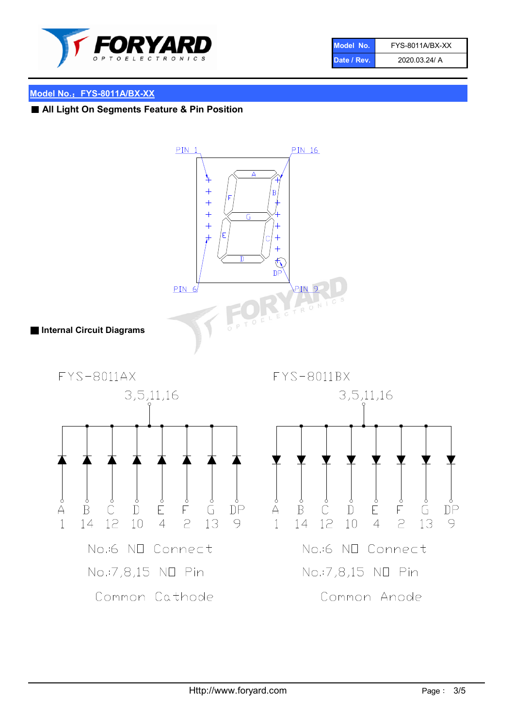

| Model No.   | FYS-8011A/BX-XX |
|-------------|-----------------|
| Date / Rev. | 2020.03.24/ A   |

## Model No.: FYS-8011A/BX-XX

## ■ All Light On Segments Feature & Pin Position

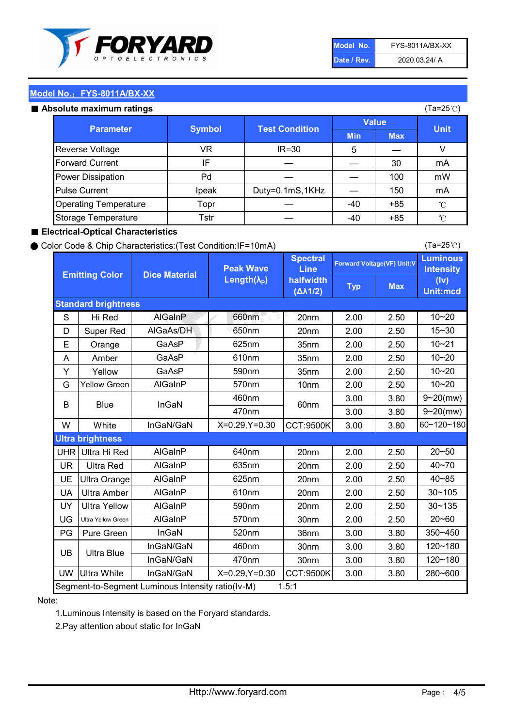

| Model No.   | FYS-8011A/BX-XX |
|-------------|-----------------|
| Date / Rev. | 2020.03.24/ A   |

(Ta=25℃)

## Model No.: FYS-8011A/BX-XX

#### Absolute maximum

| solute maximum ratings       |               |                       |              | (Ta=25℃)   |             |
|------------------------------|---------------|-----------------------|--------------|------------|-------------|
| <b>Parameter</b>             | <b>Symbol</b> | <b>Test Condition</b> | <b>Value</b> |            |             |
|                              |               |                       | <b>Min</b>   | <b>Max</b> | <b>Unit</b> |
| Reverse Voltage              | VR            | $IR = 30$             | 5            |            |             |
| <b>Forward Current</b>       | ΙF            |                       |              | 30         | mA          |
| Power Dissipation            | Pd            |                       |              | 100        | mW          |
| <b>Pulse Current</b>         | Ipeak         | Duty=0.1mS,1KHz       |              | 150        | mA          |
| <b>Operating Temperature</b> | Topr          |                       | $-40$        | $+85$      | °C          |
| Storage Temperature          | Tstr          |                       | $-40$        | $+85$      | °C          |

## ■ Electrical-Optical Characteristics

### ● Color Code & Chip Characteristics:(Test Condition:IF=10mA)

Typ Max S | Hi $\textsf{Red}$  | AlGaInP | 660nm LE 20nm | 2.00 | 2.50 D | Super Red | AIGaAs/DH | 650nm | 20nm | 2.00 | 2.50 E | Orange | GaAsP | 625nm | 35nm | 2.00 | 2.50 A | Amber | GaAsP | 610nm | 35nm | 2.00 | 2.50 Y | Yellow | GaAsP | 590nm | 35nm | 2.00 | 2.50 G Yellow Green AIGaInP | 570nm | 10nm | 2.00 | 2.50 3.00 3.80 3.00 3.80 W | White | InGaN/GaN | X=0.29,Y=0.30 |CCT:9500K| 3.00 | 3.80 UHR Ultra Hi Red | AlGaInP | 640nm | 20nm | 2.00 | 2.50 UR | Ultra Red | AlGaInP | 635nm | 20nm | 2.00 | 2.50 UE Ultra Orange | AIGaInP | 625nm | 20nm | 2.00 | 2.50 UA Ultra Amber | AIGaInP | 610nm | 20nm | 2.00 | 2.50  $UV$  Ultra Yellow  $\vert$  AlGaInP  $\vert$  590nm  $\vert$  20nm  $\vert$  2.00  $\vert$  2.50  $\text{UG}$  Ultra Yellow Green | AIGaInP | 570nm | 30nm | 2.00 | 2.50 PG Pure Green | InGaN | 520nm | 36nm | 3.00 | 3.80 30nm 3.00 3.80 30nm 3.00 3.80 UW |Ultra White | InGaN/GaN | X=0.29,Y=0.30 |CCT:9500K| 3.00 | 3.80 10~20 Standard brightness Forward Voltage(VF) Unit:V 15~30 10~20 10~20 625nm GaAsP 590nm **Emitting Color Dice Material** 10~21 610nm Luminous **Intensity** (Iv) Unit:mcd AlGainP 660nm GaAsP GaAsP AlGaAs/DH **Spectral** Line halfwidth (∆λ1/2) Peak Wave Length $(\lambda_{\rm P})$ UB 460nm 635nm AlGaInP AlGaInP AlGaInP InGaN/GaN AlGaInP | 570nm | 10nm | 2.00 | 2.50 | 10~20 30~105 30~135 460nm 520nm Ultra brightness **AlGaInP** AlGaInP 60nm AlGaInP 640nm Segment-to-Segment Luminous Intensity ratio(Iv-M) 1.5:1 610nm 9~20(mw) 350~450 470nm 120~180 120~180 Ultra Blue InGaN/GaN InGaN/GaN 9~20(mw) 20~50 280~600 570nm | 30nm | 2.00 | 2.50 | 20~60 470nm 590nm InGaN/GaN B Blue I InGaN 40~85 60~120~180 40~70

### Note:

1.Luminous Intensity is based on the Foryard standards.

2.Pay attention about static for InGaN